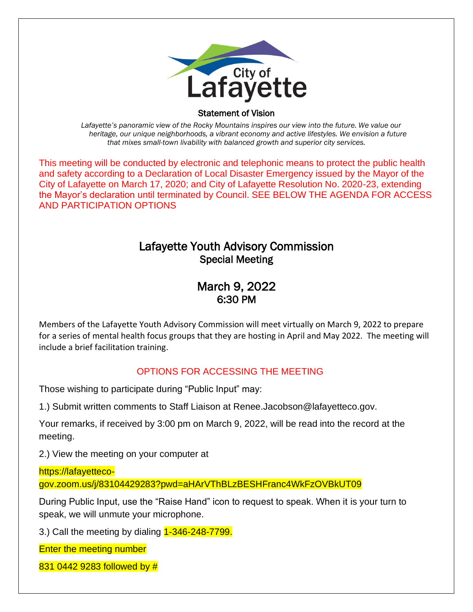

#### Statement of Vision

  *Lafayette's panoramic view of the Rocky Mountains inspires our view into the future. We value our heritage, our unique neighborhoods, a vibrant economy and active lifestyles. We envision a future that mixes small-town livability with balanced growth and superior city services.*

This meeting will be conducted by electronic and telephonic means to protect the public health and safety according to a Declaration of Local Disaster Emergency issued by the Mayor of the City of Lafayette on March 17, 2020; and City of Lafayette Resolution No. 2020-23, extending the Mayor's declaration until terminated by Council. SEE BELOW THE AGENDA FOR ACCESS AND PARTICIPATION OPTIONS

# Lafayette Youth Advisory Commission Special Meeting

## March 9, 2022 6:30 PM

Members of the Lafayette Youth Advisory Commission will meet virtually on March 9, 2022 to prepare for a series of mental health focus groups that they are hosting in April and May 2022. The meeting will include a brief facilitation training.

### OPTIONS FOR ACCESSING THE MEETING

Those wishing to participate during "Public Input" may:

1.) Submit written comments to Staff Liaison at Renee.Jacobson@lafayetteco.gov.

Your remarks, if received by 3:00 pm on March 9, 2022, will be read into the record at the meeting.

2.) View the meeting on your computer at

### https://lafayetteco-

gov.zoom.us/j/83104429283?pwd=aHArVThBLzBESHFranc4WkFzOVBkUT09

During Public Input, use the "Raise Hand" icon to request to speak. When it is your turn to speak, we will unmute your microphone.

3.) Call the meeting by dialing  $1-346-248-7799$ .

Enter the meeting number

831 0442 9283 followed by #